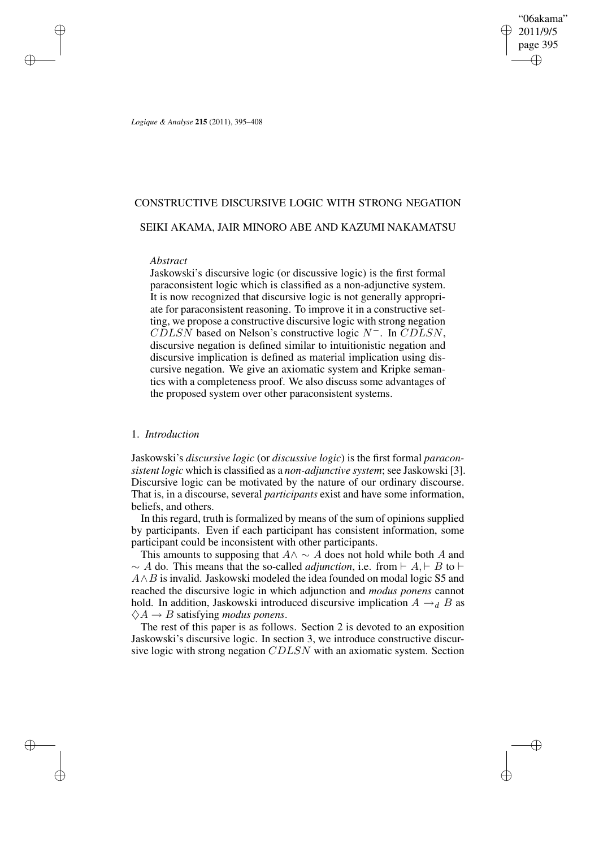"06akama" 2011/9/5 page 395 ✐ ✐

✐

✐

*Logique & Analyse* **215** (2011), 395–408

# CONSTRUCTIVE DISCURSIVE LOGIC WITH STRONG NEGATION

## SEIKI AKAMA, JAIR MINORO ABE AND KAZUMI NAKAMATSU

### *Abstract*

✐

✐

✐

✐

Jaskowski's discursive logic (or discussive logic) is the first formal paraconsistent logic which is classified as a non-adjunctive system. It is now recognized that discursive logic is not generally appropriate for paraconsistent reasoning. To improve it in a constructive setting, we propose a constructive discursive logic with strong negation  $CDLSN$  based on Nelson's constructive logic  $N^-$ . In  $CDLSN$ , discursive negation is defined similar to intuitionistic negation and discursive implication is defined as material implication using discursive negation. We give an axiomatic system and Kripke semantics with a completeness proof. We also discuss some advantages of the proposed system over other paraconsistent systems.

## 1. *Introduction*

Jaskowski's *discursive logic* (or *discussive logic*) is the first formal *paraconsistent logic* which is classified as a *non-adjunctive system*; see Jaskowski [3]. Discursive logic can be motivated by the nature of our ordinary discourse. That is, in a discourse, several *participants* exist and have some information, beliefs, and others.

In this regard, truth is formalized by means of the sum of opinions supplied by participants. Even if each participant has consistent information, some participant could be inconsistent with other participants.

This amounts to supposing that  $A \land \sim A$  does not hold while both A and  $\sim A$  do. This means that the so-called *adjunction*, i.e. from  $\vdash A, \vdash B$  to  $\vdash$  $A \wedge B$  is invalid. Jaskowski modeled the idea founded on modal logic S5 and reached the discursive logic in which adjunction and *modus ponens* cannot hold. In addition, Jaskowski introduced discursive implication  $A \rightarrow_d B$  as  $\diamondsuit A \rightarrow B$  satisfying *modus ponens*.

The rest of this paper is as follows. Section 2 is devoted to an exposition Jaskowski's discursive logic. In section 3, we introduce constructive discursive logic with strong negation CDLSN with an axiomatic system. Section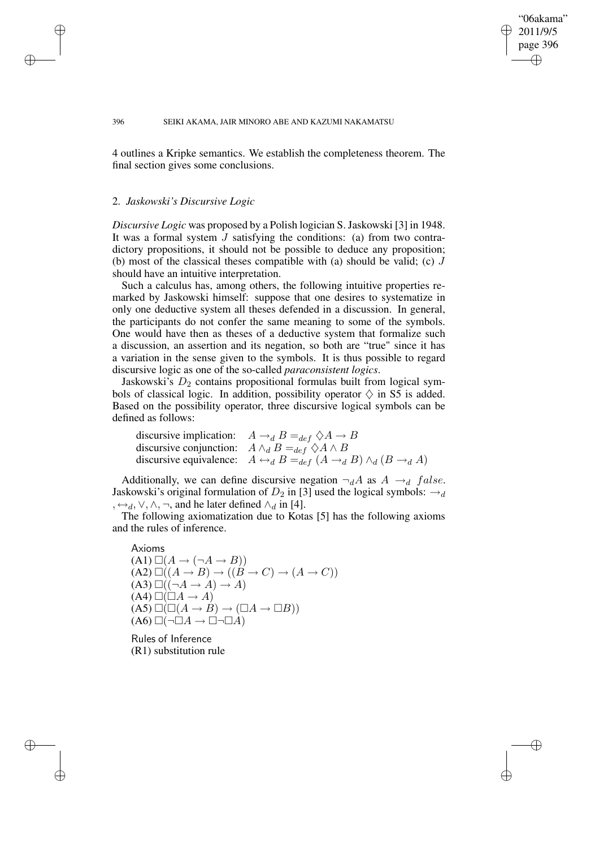### "06akama" 2011/9/5 page 396 ✐ ✐

✐

✐

#### 396 SEIKI AKAMA, JAIR MINORO ABE AND KAZUMI NAKAMATSU

4 outlines a Kripke semantics. We establish the completeness theorem. The final section gives some conclusions.

### 2. *Jaskowski's Discursive Logic*

✐

✐

✐

✐

*Discursive Logic* was proposed by a Polish logician S. Jaskowski [3] in 1948. It was a formal system  $J$  satisfying the conditions: (a) from two contradictory propositions, it should not be possible to deduce any proposition; (b) most of the classical theses compatible with (a) should be valid; (c)  $J$ should have an intuitive interpretation.

Such a calculus has, among others, the following intuitive properties remarked by Jaskowski himself: suppose that one desires to systematize in only one deductive system all theses defended in a discussion. In general, the participants do not confer the same meaning to some of the symbols. One would have then as theses of a deductive system that formalize such a discussion, an assertion and its negation, so both are "true" since it has a variation in the sense given to the symbols. It is thus possible to regard discursive logic as one of the so-called *paraconsistent logics*.

Jaskowski's  $D_2$  contains propositional formulas built from logical symbols of classical logic. In addition, possibility operator  $\diamondsuit$  in S5 is added. Based on the possibility operator, three discursive logical symbols can be defined as follows:

| discursive implication: $A \rightarrow_d B =_{def} \Diamond A \rightarrow B$                            |
|---------------------------------------------------------------------------------------------------------|
| discursive conjunction: $A \wedge_d B =_{def} \lozenge A \wedge B$                                      |
| discursive equivalence: $A \leftrightarrow_d B =_{def} (A \rightarrow_d B) \land_d (B \rightarrow_d A)$ |

Additionally, we can define discursive negation  $\neg_d A$  as  $A \rightarrow_d false$ . Jaskowski's original formulation of  $D_2$  in [3] used the logical symbols:  $\rightarrow_d$ ,  $\leftrightarrow_d$ ,  $\lor$ ,  $\land$ ,  $\neg$ , and he later defined  $\land_d$  in [4].

The following axiomatization due to Kotas [5] has the following axioms and the rules of inference.

Axioms  
\n(A1) 
$$
\Box(A \rightarrow (\neg A \rightarrow B))
$$
  
\n(A2)  $\Box((A \rightarrow B) \rightarrow ((B \rightarrow C) \rightarrow (A \rightarrow C)))$   
\n(A3)  $\Box((\neg A \rightarrow A) \rightarrow A)$   
\n(A4)  $\Box(\Box A \rightarrow A)$   
\n(A5)  $\Box(\Box(A \rightarrow B) \rightarrow (\Box A \rightarrow \Box B))$   
\n(A6)  $\Box(\neg \Box A \rightarrow \Box \neg \Box A)$ 

Rules of Inference (R1) substitution rule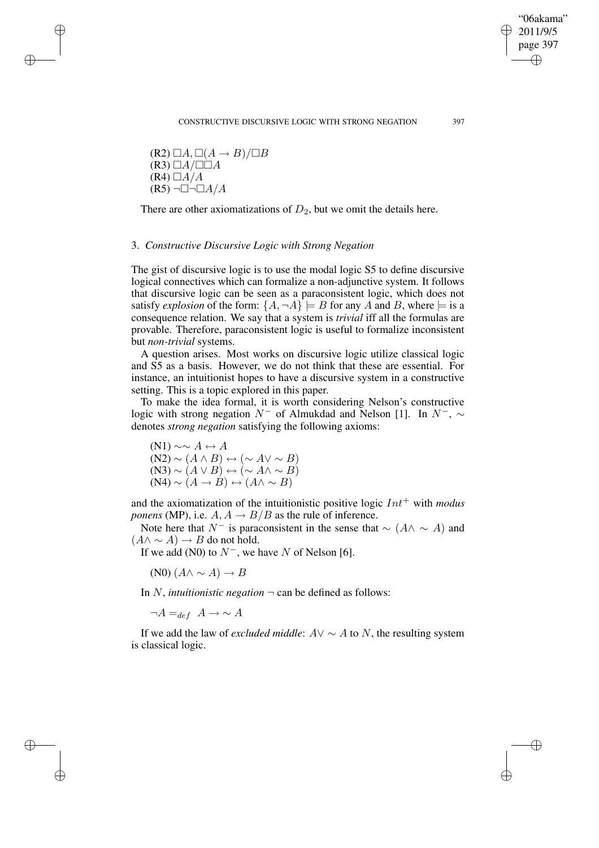CONSTRUCTIVE DISCURSIVE LOGIC WITH STRONG NEGATION 397

 $(R2) \square A, \square (A \rightarrow B) / \square B$  $(R3)$   $\Box A/\Box \Box A$  $(R4) \Box A/A$  $(R5)$   $\neg$   $\neg$   $\neg$   $\neg$   $A/A$ 

✐

✐

✐

✐

There are other axiomatizations of  $D_2$ , but we omit the details here.

### 3. *Constructive Discursive Logic with Strong Negation*

The gist of discursive logic is to use the modal logic S5 to define discursive logical connectives which can formalize a non-adjunctive system. It follows that discursive logic can be seen as a paraconsistent logic, which does not satisfy *explosion* of the form:  $\{A, \neg A\}$  = B for any A and B, where  $\models$  is a consequence relation. We say that a system is *trivial* iff all the formulas are provable. Therefore, paraconsistent logic is useful to formalize inconsistent but *non-trivial* systems.

A question arises. Most works on discursive logic utilize classical logic and S5 as a basis. However, we do not think that these are essential. For instance, an intuitionist hopes to have a discursive system in a constructive setting. This is a topic explored in this paper.

To make the idea formal, it is worth considering Nelson's constructive logic with strong negation  $N^-$  of Almukdad and Nelson [1]. In  $N^-$ ,  $\sim$ denotes *strong negation* satisfying the following axioms:

 $(N1) \sim \sim A \leftrightarrow A$  $(N2) \sim (A \wedge B) \leftrightarrow (\sim A \vee \sim B)$  $(N3) \sim (A \vee B) \leftrightarrow (\sim A \wedge \sim B)$  $(M4) \sim (A \rightarrow B) \leftrightarrow (A \land \sim B)$ 

and the axiomatization of the intuitionistic positive logic  $Int^+$  with *modus ponens* (MP), i.e.  $A, A \rightarrow B/B$  as the rule of inference.

Note here that N<sup>-</sup> is paraconsistent in the sense that  $\sim (A \land \sim A)$  and  $(A \wedge \sim A) \rightarrow B$  do not hold.

If we add (N0) to  $N^-$ , we have N of Nelson [6].

 $(N0)$   $(A \wedge \sim A) \rightarrow B$ 

In N, *intuitionistic negation*  $\neg$  can be defined as follows:

 $\neg A =_{def} A \rightarrow \sim A$ 

If we add the law of *excluded middle*:  $A \vee \sim A$  to N, the resulting system is classical logic.

"06akama" 2011/9/5 page 397

✐

✐

✐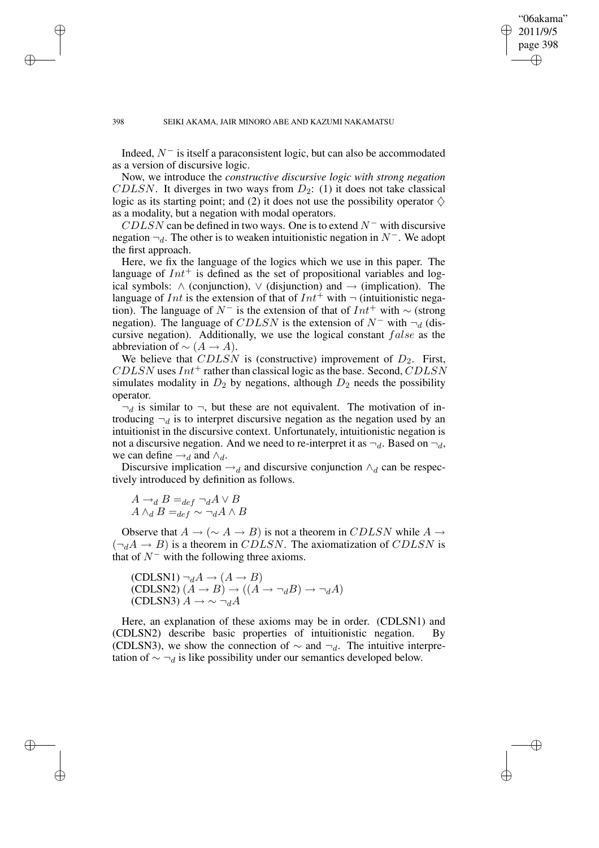"06akama" 2011/9/5 page 398 ✐ ✐

✐

✐

Indeed,  $N^-$  is itself a paraconsistent logic, but can also be accommodated as a version of discursive logic.

Now, we introduce the *constructive discursive logic with strong negation* CDLSN. It diverges in two ways from  $D_2$ : (1) it does not take classical logic as its starting point; and (2) it does not use the possibility operator  $\diamondsuit$ as a modality, but a negation with modal operators.

 $CDLSN$  can be defined in two ways. One is to extend  $N^-$  with discursive negation  $\neg_d$ . The other is to weaken intuitionistic negation in N<sup>-</sup>. We adopt the first approach.

Here, we fix the language of the logics which we use in this paper. The language of  $Int^+$  is defined as the set of propositional variables and logical symbols:  $\land$  (conjunction),  $\lor$  (disjunction) and  $\rightarrow$  (implication). The language of Int is the extension of that of  $Int^+$  with  $\neg$  (intuitionistic negation). The language of  $N^-$  is the extension of that of  $Int^+$  with  $\sim$  (strong negation). The language of CDLSN is the extension of  $N^-$  with  $\neg_d$  (discursive negation). Additionally, we use the logical constant false as the abbreviation of  $\sim (A \rightarrow A)$ .

We believe that  $CDLSN$  is (constructive) improvement of  $D_2$ . First,  $CDLSN$  uses  $Int^+$  rather than classical logic as the base. Second,  $CDLSN$ simulates modality in  $D_2$  by negations, although  $D_2$  needs the possibility operator.

 $\neg_d$  is similar to  $\neg$ , but these are not equivalent. The motivation of introducing  $\neg_d$  is to interpret discursive negation as the negation used by an intuitionist in the discursive context. Unfortunately, intuitionistic negation is not a discursive negation. And we need to re-interpret it as  $\neg_d$ . Based on  $\neg_d$ , we can define  $\rightarrow_d$  and  $\land_d$ .

Discursive implication  $\rightarrow_d$  and discursive conjunction  $\land_d$  can be respectively introduced by definition as follows.

$$
A \rightarrow_d B =_{def} \neg_d A \lor B
$$
  

$$
A \land_d B =_{def} \sim \neg_d A \land B
$$

Observe that  $A \to (\sim A \to B)$  is not a theorem in CDLSN while  $A \to \infty$  $(\neg_d A \rightarrow B)$  is a theorem in CDLSN. The axiomatization of CDLSN is that of  $N^-$  with the following three axioms.

(CDLSN1) 
$$
\neg_d A \rightarrow (A \rightarrow B)
$$
  
(CDLSN2)  $(A \rightarrow B) \rightarrow ((A \rightarrow \neg_d B) \rightarrow \neg_d A)$   
(CDLSN3)  $A \rightarrow \sim \neg_d A$ 

Here, an explanation of these axioms may be in order. (CDLSN1) and (CDLSN2) describe basic properties of intuitionistic negation. By (CDLSN3), we show the connection of  $\sim$  and  $\neg_d$ . The intuitive interpretation of  $\sim \neg_d$  is like possibility under our semantics developed below.

✐

✐

✐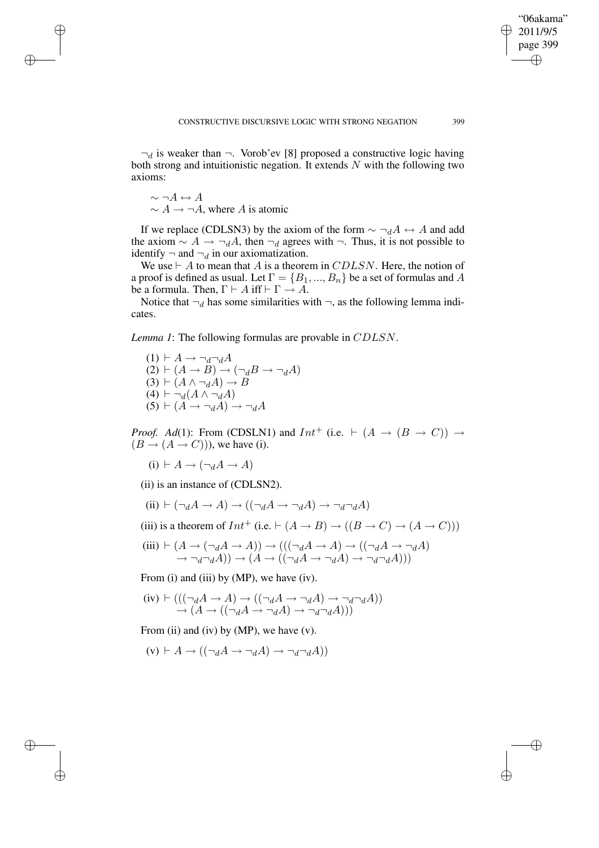"06akama" 2011/9/5 page 399

✐

✐

✐

✐

 $\neg_d$  is weaker than  $\neg$ . Vorob'ev [8] proposed a constructive logic having both strong and intuitionistic negation. It extends  $N$  with the following two axioms:

$$
\sim \neg A \leftrightarrow A
$$
  
 
$$
\sim A \rightarrow \neg A
$$
, where A is atomic

✐

✐

✐

✐

If we replace (CDLSN3) by the axiom of the form  $\sim \neg_d A \leftrightarrow A$  and add the axiom  $\sim A \rightarrow \neg_d A$ , then  $\neg_d$  agrees with  $\neg$ . Thus, it is not possible to identify  $\neg$  and  $\neg_d$  in our axiomatization.

We use  $\vdash A$  to mean that A is a theorem in CDLSN. Here, the notion of a proof is defined as usual. Let  $\Gamma = \{B_1, ..., B_n\}$  be a set of formulas and A be a formula. Then,  $\Gamma \vdash A$  iff  $\vdash \Gamma \rightarrow A$ .

Notice that  $\neg_d$  has some similarities with  $\neg$ , as the following lemma indicates.

*Lemma 1*: The following formulas are provable in CDLSN.

$$
(1) \vdash A \rightarrow \neg_d \neg_d A
$$
  
\n
$$
(2) \vdash (A \rightarrow B) \rightarrow (\neg_d B \rightarrow \neg_d A)
$$
  
\n
$$
(3) \vdash (A \land \neg_d A) \rightarrow B
$$
  
\n
$$
(4) \vdash \neg_d (A \land \neg_d A)
$$
  
\n
$$
(5) \vdash (A \rightarrow \neg_d A) \rightarrow \neg_d A
$$

*Proof. Ad*(1): From (CDSLN1) and  $Int^+$  (i.e.  $\vdash (A \rightarrow (B \rightarrow C)) \rightarrow$  $(B \to (A \to C)))$ , we have (i).

 $(i) \vdash A \rightarrow (\neg_d A \rightarrow A)$ 

(ii) is an instance of (CDLSN2).

 $(ii) \vdash (\neg_d A \rightarrow A) \rightarrow ((\neg_d A \rightarrow \neg_d A) \rightarrow \neg_d \neg_d A)$ 

(iii) is a theorem of  $Int^+$  (i.e.  $\vdash (A \rightarrow B) \rightarrow ((B \rightarrow C) \rightarrow (A \rightarrow C)))$ 

$$
\begin{array}{c}\n\text{(iii)} \vdash (A \to (\neg_d A \to A)) \to (((\neg_d A \to A) \to ((\neg_d A \to \neg_d A) \to \neg_d A)) \to (A \to (\neg_d A \to \neg_d A)) \text{)} \\
\to \neg_d \neg_d A)) \to (A \to ((\neg_d A \to \neg_d A) \to \neg_d \neg_d A)))\n\end{array}
$$

From (i) and (iii) by (MP), we have (iv).

$$
\begin{array}{c}\n\text{(iv)} \vdash (((\neg_d A \to A) \to ((\neg_d A \to \neg_d A) \to \neg_d \neg_d A)) \\
\to (A \to ((\neg_d A \to \neg_d A) \to \neg_d \neg_d A)))\n\end{array}
$$

From (ii) and (iv) by (MP), we have  $(v)$ .

$$
(v) \vdash A \to ((\neg_d A \to \neg_d A) \to \neg_d \neg_d A))
$$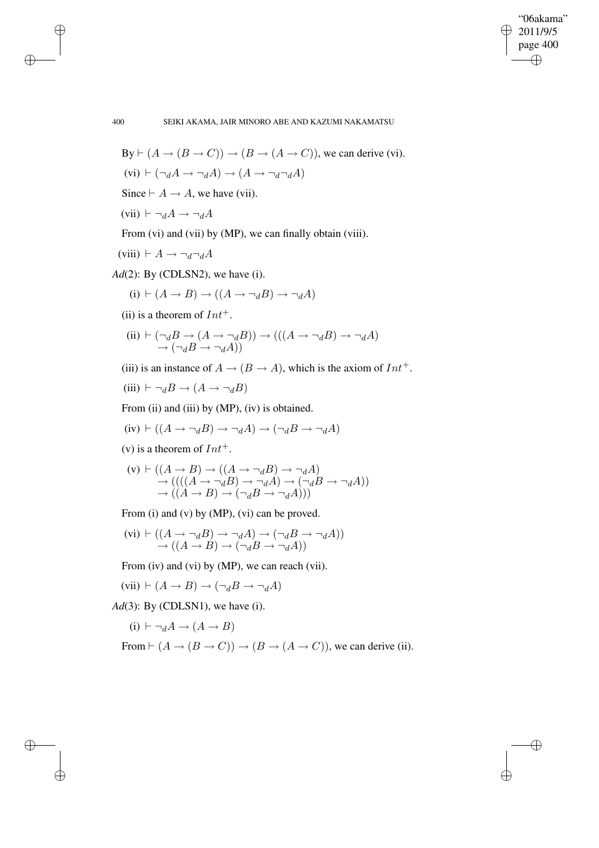✐

✐

400 SEIKI AKAMA, JAIR MINORO ABE AND KAZUMI NAKAMATSU

By 
$$
\vdash
$$
 ( $A \rightarrow (B \rightarrow C)$ )  $\rightarrow$  ( $B \rightarrow (A \rightarrow C)$ ), we can derive (vi).

 $(vi) \vdash (\neg_d A \rightarrow \neg_d A) \rightarrow (A \rightarrow \neg_d \neg_d A)$ 

Since  $\vdash A \rightarrow A$ , we have (vii).

$$
(vii) \vdash \neg_d A \to \neg_d A
$$

From (vi) and (vii) by (MP), we can finally obtain (viii).

$$
(viii) \vdash A \to \neg_d \neg_d A
$$

*Ad*(2): By (CDLSN2), we have (i).

$$
(i) \vdash (A \to B) \to ((A \to \neg_d B) \to \neg_d A)
$$

(ii) is a theorem of  $Int^+$ .

(ii) 
$$
\vdash (\neg_d B \to (A \to \neg_d B)) \to (((A \to \neg_d B) \to \neg_d A)
$$
  
 $\to (\neg_d B \to \neg_d A))$ 

(iii) is an instance of  $A \rightarrow (B \rightarrow A)$ , which is the axiom of  $Int^+$ .

(iii) 
$$
\vdash \neg_d B \rightarrow (A \rightarrow \neg_d B)
$$

From (ii) and (iii) by (MP), (iv) is obtained.

(iv) 
$$
\vdash ((A \rightarrow \neg_d B) \rightarrow \neg_d A) \rightarrow (\neg_d B \rightarrow \neg_d A)
$$

(v) is a theorem of  $Int^+$ .

(v) 
$$
\vdash ((A \rightarrow B) \rightarrow ((A \rightarrow \neg_d B) \rightarrow \neg_d A)
$$
  
\n $\rightarrow (((A \rightarrow \neg_d B) \rightarrow \neg_d A) \rightarrow (\neg_d B \rightarrow \neg_d A))$   
\n $\rightarrow ((A \rightarrow B) \rightarrow (\neg_d B \rightarrow \neg_d A)))$ 

From (i) and (v) by (MP), (vi) can be proved.

$$
(vi) \vdash ((A \to \neg_d B) \to \neg_d A) \to (\neg_d B \to \neg_d A))
$$
  
\n
$$
\to ((A \to B) \to (\neg_d B \to \neg_d A))
$$

From (iv) and (vi) by (MP), we can reach (vii).

$$
(vii) \vdash (A \to B) \to (\neg_d B \to \neg_d A)
$$

*Ad*(3): By (CDLSN1), we have (i).

$$
(i) \vdash \neg_d A \to (A \to B)
$$

From 
$$
\vdash (A \rightarrow (B \rightarrow C)) \rightarrow (B \rightarrow (A \rightarrow C))
$$
, we can derive (ii).

✐

✐

✐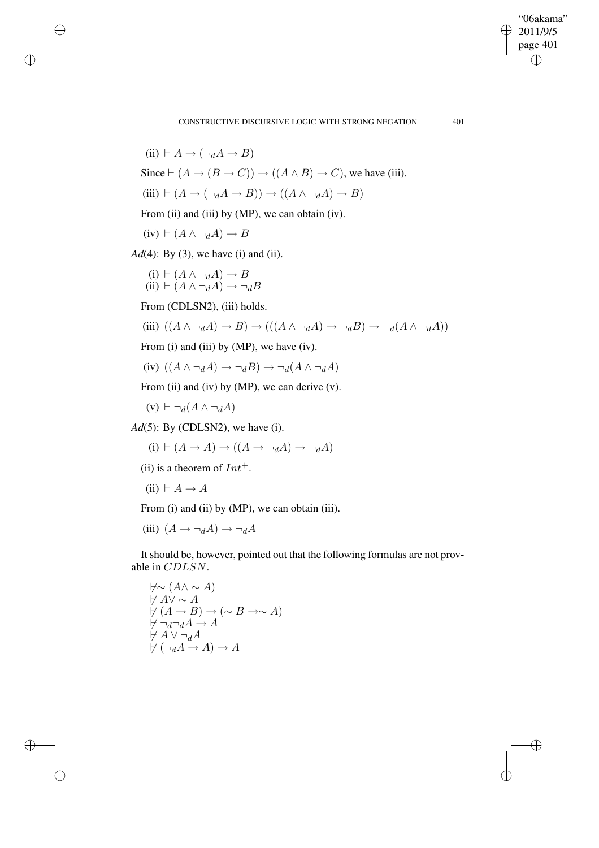CONSTRUCTIVE DISCURSIVE LOGIC WITH STRONG NEGATION 401

"06akama" 2011/9/5 page 401

✐

✐

 $\bigoplus$ 

✐

 $(ii) \vdash A \rightarrow (\neg A \rightarrow B)$ Since  $\vdash (A \rightarrow (B \rightarrow C)) \rightarrow ((A \land B) \rightarrow C)$ , we have (iii).  $(iii) \vdash (A \rightarrow (\neg_d A \rightarrow B)) \rightarrow ((A \land \neg_d A) \rightarrow B)$ From (ii) and (iii) by (MP), we can obtain (iv).  $(iv) \vdash (A \land \neg_d A) \rightarrow B$ *Ad*(4): By (3), we have (i) and (ii).  $(i) \vdash (A \land \neg_d A) \rightarrow B$ (ii)  $\vdash (A \land \neg_d A) \rightarrow \neg_d B$ From (CDLSN2), (iii) holds. (iii)  $((A \wedge \neg_d A) \rightarrow B) \rightarrow (((A \wedge \neg_d A) \rightarrow \neg_d B) \rightarrow \neg_d (A \wedge \neg_d A))$ From (i) and (iii) by (MP), we have (iv). (iv)  $((A \wedge \neg_d A) \rightarrow \neg_d B) \rightarrow \neg_d(A \wedge \neg_d A)$ From (ii) and (iv) by (MP), we can derive  $(v)$ .  $(v) \vdash \neg_d(A \land \neg_d A)$ *Ad*(5): By (CDLSN2), we have (i).  $(i) \vdash (A \rightarrow A) \rightarrow ((A \rightarrow \neg dA) \rightarrow \neg dA)$ (ii) is a theorem of  $Int^+$ . (ii)  $\vdash A \rightarrow A$ 

From (i) and (ii) by (MP), we can obtain (iii).

(iii)  $(A \rightarrow \neg_d A) \rightarrow \neg_d A$ 

✐

✐

✐

✐

It should be, however, pointed out that the following formulas are not provable in CDLSN.

 $\forall \sim (A \land \sim A)$  $\forall A\lor\sim A$  $\forall (A \rightarrow B) \rightarrow (\sim B \rightarrow \sim A)$  $\not\vdash \neg_d\neg_d A \to A$  $\nvdash A \vee \neg_d A$  $H(\neg dA \rightarrow A) \rightarrow A$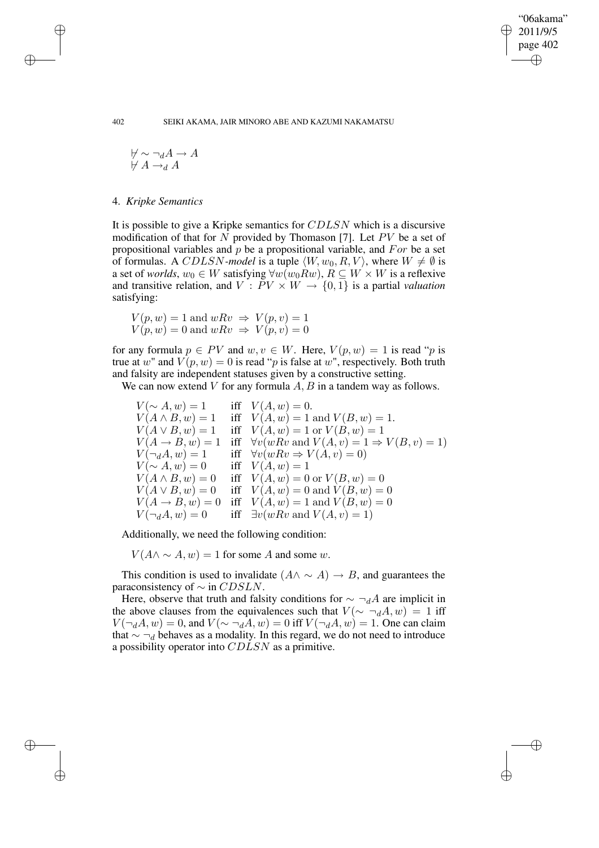✐

✐

#### 402 SEIKI AKAMA, JAIR MINORO ABE AND KAZUMI NAKAMATSU

$$
\begin{array}{c}\n\forall \sim \neg_d A \to A \\
\forall \ A \to_d A\n\end{array}
$$

4. *Kripke Semantics*

It is possible to give a Kripke semantics for CDLSN which is a discursive modification of that for  $N$  provided by Thomason [7]. Let  $PV$  be a set of propositional variables and  $p$  be a propositional variable, and  $For$  be a set of formulas. A CDLSN-model is a tuple  $\langle W, w_0, R, V \rangle$ , where  $W \neq \emptyset$  is a set of *worlds*,  $w_0 \in W$  satisfying  $\forall w(w_0 R w)$ ,  $R \subseteq W \times W$  is a reflexive and transitive relation, and  $V: PV \times W \rightarrow \{0, 1\}$  is a partial *valuation* satisfying:

$$
V(p, w) = 1 \text{ and } wRv \Rightarrow V(p, v) = 1
$$
  

$$
V(p, w) = 0 \text{ and } wRv \Rightarrow V(p, v) = 0
$$

for any formula  $p \in PV$  and  $w, v \in W$ . Here,  $V(p, w) = 1$  is read "p is true at w" and  $V(p, w) = 0$  is read "p is false at w", respectively. Both truth and falsity are independent statuses given by a constructive setting.

We can now extend V for any formula  $A, B$  in a tandem way as follows.

 $V(\sim A, w) = 1$  iff  $V(A, w) = 0$ .  $V(A \wedge B, w) = 1$  iff  $V(A, w) = 1$  and  $V(B, w) = 1$ .  $V(A \vee B, w) = 1$  iff  $V(A, w) = 1$  or  $V(B, w) = 1$  $V(A \rightarrow B, w) = 1$  iff  $\forall v(wRv \text{ and } V(A, v) = 1 \Rightarrow V(B, v) = 1)$  $V(\neg_d A, w) = 1$  iff  $\forall v(wRv \Rightarrow V(A, v) = 0)$  $V(\sim A, w) = 0$  iff  $V(A, w) = 1$  $V(A \wedge B, w) = 0$  iff  $V(A, w) = 0$  or  $V(B, w) = 0$  $V(A \vee B, w) = 0$  iff  $V(A, w) = 0$  and  $V(B, w) = 0$  $V(A \rightarrow B, w) = 0$  iff  $V(A, w) = 1$  and  $V(B, w) = 0$  $V(\neg_d A, w) = 0$  iff  $\exists v(wRv \text{ and } V(A, v) = 1)$ 

Additionally, we need the following condition:

 $V(A \wedge \neg A, w) = 1$  for some A and some w.

This condition is used to invalidate  $(A \land \sim A) \rightarrow B$ , and guarantees the paraconsistency of  $\sim$  in  $CDSLN$ .

Here, observe that truth and falsity conditions for  $\sim \neg_d A$  are implicit in the above clauses from the equivalences such that  $V(\sim \neg_d A, w) = 1$  iff  $V(\neg_d A, w) = 0$ , and  $V(\sim \neg_d A, w) = 0$  iff  $V(\neg_d A, w) = 1$ . One can claim that  $\sim \neg_d$  behaves as a modality. In this regard, we do not need to introduce a possibility operator into CDLSN as a primitive.

✐

✐

✐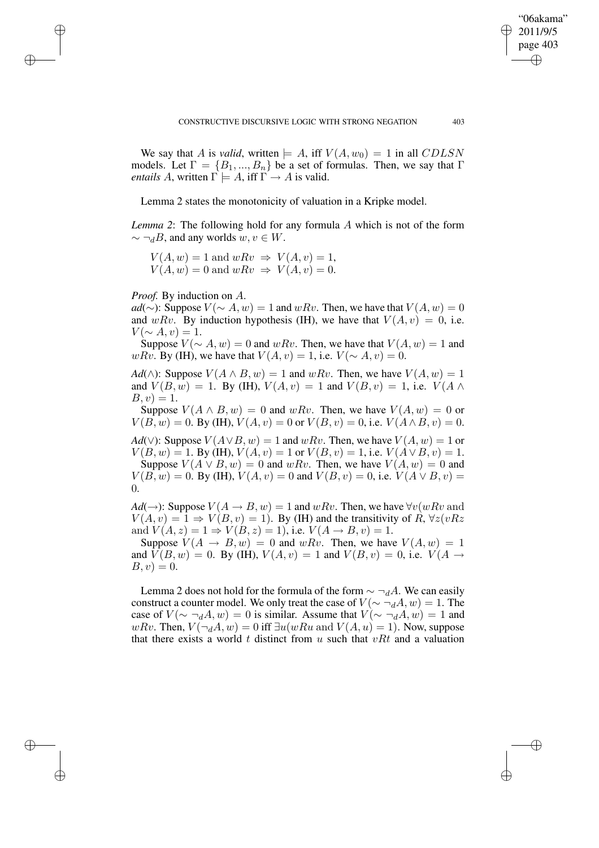We say that A is *valid*, written  $\models A$ , iff  $V(A, w_0) = 1$  in all CDLSN models. Let  $\Gamma = \{B_1, ..., B_n\}$  be a set of formulas. Then, we say that  $\Gamma$ *entails* A, written  $\Gamma \models A$ , iff  $\Gamma \rightarrow A$  is valid.

Lemma 2 states the monotonicity of valuation in a Kripke model.

*Lemma 2*: The following hold for any formula A which is not of the form  $\sim \neg_d B$ , and any worlds  $w, v \in W$ .

 $V(A, w) = 1$  and  $wRv \Rightarrow V(A, v) = 1$ ,  $V(A, w) = 0$  and  $wRv \Rightarrow V(A, v) = 0$ .

*Proof.* By induction on A.

✐

✐

✐

✐

*ad*(∼): Suppose  $V(\sim A, w) = 1$  and wRv. Then, we have that  $V(A, w) = 0$ and wRv. By induction hypothesis (IH), we have that  $V(A, v) = 0$ , i.e.  $V(\sim A, v) = 1.$ 

Suppose  $V(\sim A, w) = 0$  and wRv. Then, we have that  $V(A, w) = 1$  and wRv. By (IH), we have that  $V(A, v) = 1$ , i.e.  $V(\sim A, v) = 0$ .

*Ad*( $\wedge$ ): Suppose  $V(A \wedge B, w) = 1$  and  $wRv$ . Then, we have  $V(A, w) = 1$ and  $V(B, w) = 1$ . By (IH),  $V(A, v) = 1$  and  $V(B, v) = 1$ , i.e.  $V(A \wedge$  $B, v) = 1.$ 

Suppose  $V(A \wedge B, w) = 0$  and wRv. Then, we have  $V(A, w) = 0$  or  $V(B, w) = 0$ . By (IH),  $V(A, v) = 0$  or  $V(B, v) = 0$ , i.e.  $V(A \wedge B, v) = 0$ .

*Ad*(∨): Suppose  $V(A \vee B, w) = 1$  and  $wRv$ . Then, we have  $V(A, w) = 1$  or  $V(B, w) = 1$ . By (IH),  $V(A, v) = 1$  or  $V(B, v) = 1$ , i.e.  $V(A \vee B, v) = 1$ . Suppose  $V(A \vee B, w) = 0$  and wRv. Then, we have  $V(A, w) = 0$  and  $V(B, w) = 0$ . By (IH),  $V(A, v) = 0$  and  $V(B, v) = 0$ , i.e.  $V(A \vee B, v) =$ 

0.

*Ad*( $\rightarrow$ ): Suppose  $V(A \rightarrow B, w) = 1$  and wRv. Then, we have  $\forall v(wRv)$  and  $V(A, v) = 1 \Rightarrow V(B, v) = 1$ . By (IH) and the transitivity of R,  $\forall z (vRz)$ and  $V(A, z) = 1 \Rightarrow V(B, z) = 1$ , i.e.  $V(A \rightarrow B, v) = 1$ .

Suppose  $V(A \rightarrow B, w) = 0$  and wRv. Then, we have  $V(A, w) = 1$ and  $V(B, w) = 0$ . By (IH),  $V(A, v) = 1$  and  $V(B, v) = 0$ , i.e.  $V(A \rightarrow$  $B, v) = 0.$ 

Lemma 2 does not hold for the formula of the form  $\sim \neg_d A$ . We can easily construct a counter model. We only treat the case of  $V(\sim \neg_d A, w) = 1$ . The case of  $V(\sim \neg_d A, w) = 0$  is similar. Assume that  $V(\sim \neg_d A, w) = 1$  and wRv. Then,  $V(\neg_d A, w) = 0$  iff  $\exists u(wRu \text{ and } V(A, u) = 1)$ . Now, suppose that there exists a world t distinct from  $u$  such that  $vRt$  and a valuation

"06akama" 2011/9/5 page 403

✐

✐

✐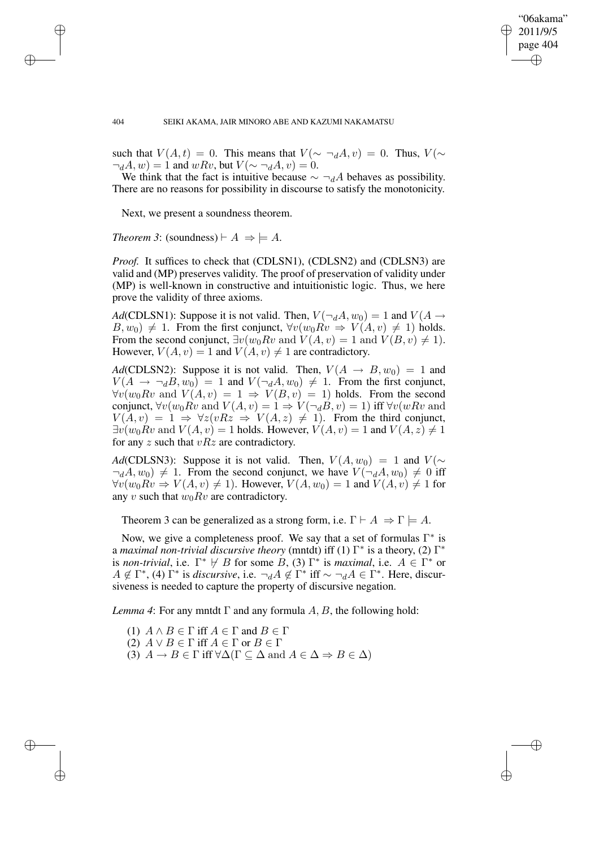✐

✐

#### 404 SEIKI AKAMA, JAIR MINORO ABE AND KAZUMI NAKAMATSU

such that  $V(A,t) = 0$ . This means that  $V(\sim \neg_d A, v) = 0$ . Thus,  $V(\sim \neg_d A, v) = 0$ .  $\neg_d A, w$  = 1 and wRv, but  $V(\sim \neg_d A, v) = 0$ .

We think that the fact is intuitive because  $\sim \neg_d A$  behaves as possibility. There are no reasons for possibility in discourse to satisfy the monotonicity.

Next, we present a soundness theorem.

*Theorem 3*: (soundness)  $\vdash A \Rightarrow \models A$ .

✐

✐

✐

✐

*Proof.* It suffices to check that (CDLSN1), (CDLSN2) and (CDLSN3) are valid and (MP) preserves validity. The proof of preservation of validity under (MP) is well-known in constructive and intuitionistic logic. Thus, we here prove the validity of three axioms.

*Ad*(CDLSN1): Suppose it is not valid. Then,  $V(\neg_d A, w_0) = 1$  and  $V(A \rightarrow$  $B, w_0$   $\neq 1$ . From the first conjunct,  $\forall v(w_0 R v \Rightarrow V(A, v) \neq 1)$  holds. From the second conjunct,  $\exists v(w_0 R v \text{ and } V(A, v) = 1 \text{ and } V(B, v) \neq 1$ . However,  $V(A, v) = 1$  and  $V(A, v) \neq 1$  are contradictory.

*Ad*(CDLSN2): Suppose it is not valid. Then,  $V(A \rightarrow B, w_0) = 1$  and  $V(A \rightarrow \neg_B B, w_0) = 1$  and  $V(\neg_A A, w_0) \neq 1$ . From the first conjunct,  $\forall v(w_0Rv \text{ and } V(A,v) = 1 \Rightarrow V(B,v) = 1)$  holds. From the second conjunct,  $\forall v(w_0 R v \text{ and } V(A, v) = 1 \Rightarrow V(\neg_d B, v) = 1)$  iff  $\forall v(w R v \text{ and }$  $V(A, v) = 1 \Rightarrow \forall z (vRz \Rightarrow V(A, z) \neq 1)$ . From the third conjunct,  $\exists v(w_0 R v \text{ and } V(A, v) = 1 \text{ holds. However, } V(A, v) = 1 \text{ and } V(A, z) \neq 1$ for any z such that  $vRz$  are contradictory.

*Ad*(CDLSN3): Suppose it is not valid. Then,  $V(A, w_0) = 1$  and  $V(\sim$  $\neg_d A, w_0$   $\neq 1$ . From the second conjunct, we have  $V(\neg_d A, w_0) \neq 0$  iff  $\forall v(w_0 R v \Rightarrow V(A, v) \neq 1)$ . However,  $V(A, w_0) = 1$  and  $V(A, v) \neq 1$  for any v such that  $w_0 Rv$  are contradictory.

Theorem 3 can be generalized as a strong form, i.e.  $\Gamma \vdash A \Rightarrow \Gamma \models A$ .

Now, we give a completeness proof. We say that a set of formulas  $\Gamma^*$  is a *maximal non-trivial discursive theory* (mntdt) iff (1) Γ ∗ is a theory, (2) Γ ∗ is *non-trivial*, i.e.  $\Gamma^* \nvDash B$  for some  $B$ , (3)  $\Gamma^*$  is *maximal*, i.e.  $A \in \Gamma^*$  or  $A \notin \Gamma^*$ , (4)  $\Gamma^*$  is *discursive*, i.e.  $\neg_d A \notin \Gamma^*$  iff  $\sim \neg_d A \in \Gamma^*$ . Here, discursiveness is needed to capture the property of discursive negation.

*Lemma* 4: For any mntdt  $\Gamma$  and any formula A, B, the following hold:

(1)  $A \wedge B \in \Gamma$  iff  $A \in \Gamma$  and  $B \in \Gamma$ (2)  $A \vee B \in \Gamma$  iff  $A \in \Gamma$  or  $B \in \Gamma$ (3)  $A \to B \in \Gamma$  iff  $\forall \Delta(\Gamma \subseteq \Delta \text{ and } A \in \Delta \Rightarrow B \in \Delta)$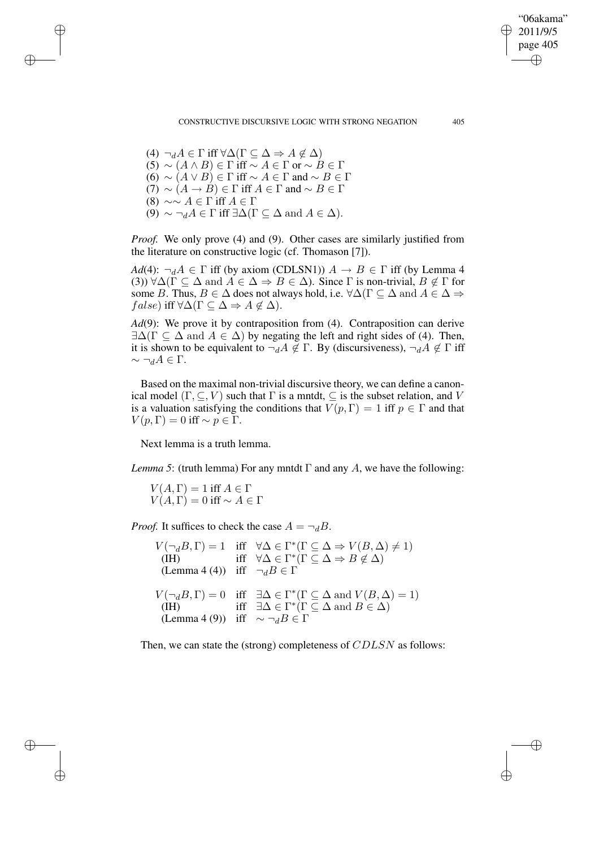CONSTRUCTIVE DISCURSIVE LOGIC WITH STRONG NEGATION 405

"06akama" 2011/9/5 page 405

✐

✐

✐

✐

(4)  $\neg_d A \in \Gamma$  iff  $\forall \Delta(\Gamma \subseteq \Delta \Rightarrow A \notin \Delta)$  $(5) \sim (A \wedge B) \in \Gamma$  iff  $\sim A \in \Gamma$  or  $\sim B \in \Gamma$ (6) ∼  $(A \vee B) \in \Gamma$  iff ∼  $A \in \Gamma$  and ∼  $B \in \Gamma$  $(7) \sim (A \rightarrow B) \in \Gamma$  iff  $A \in \Gamma$  and  $\sim B \in \Gamma$ (8)  $\sim \sim A \in \Gamma$  iff  $A \in \Gamma$ (9)  $\sim \neg_d A \in \Gamma$  iff  $\exists \Delta(\Gamma \subseteq \Delta \text{ and } A \in \Delta)$ .

✐

✐

✐

✐

*Proof.* We only prove (4) and (9). Other cases are similarly justified from the literature on constructive logic (cf. Thomason [7]).

*Ad*(4):  $\neg_d A \in \Gamma$  iff (by axiom (CDLSN1))  $A \rightarrow B \in \Gamma$  iff (by Lemma 4 (3))  $\forall \Delta(\Gamma \subset \Delta \text{ and } A \in \Delta \Rightarrow B \in \Delta)$ . Since  $\Gamma$  is non-trivial,  $B \notin \Gamma$  for some B. Thus,  $B \in \Delta$  does not always hold, i.e.  $\forall \Delta(\Gamma \subseteq \Delta \text{ and } A \in \Delta \Rightarrow$  $false)$  iff  $\forall \Delta(\Gamma \subseteq \Delta \Rightarrow A \notin \Delta)$ .

*Ad*(9): We prove it by contraposition from (4). Contraposition can derive  $\exists \Delta(\Gamma \subset \Delta \text{ and } A \in \Delta)$  by negating the left and right sides of (4). Then, it is shown to be equivalent to  $\neg_d A \notin \Gamma$ . By (discursiveness),  $\neg_d A \notin \Gamma$  iff  $\sim \neg_d A \in \Gamma$ .

Based on the maximal non-trivial discursive theory, we can define a canonical model  $(\Gamma, \subseteq, V)$  such that  $\Gamma$  is a mntdt,  $\subseteq$  is the subset relation, and V is a valuation satisfying the conditions that  $V(p, \Gamma) = 1$  iff  $p \in \Gamma$  and that  $V(p, \Gamma) = 0$  iff ~  $p \in \Gamma$ .

Next lemma is a truth lemma.

*Lemma* 5: (truth lemma) For any mntdt  $\Gamma$  and any A, we have the following:

 $V(A,\Gamma) = 1$  iff  $A \in \Gamma$  $V(A, \Gamma) = 0$  iff ~  $A \in \Gamma$ 

*Proof.* It suffices to check the case  $A = \neg_B B$ .

 $V(\neg_B B, \Gamma) = 1$  iff  $\forall \Delta \in \Gamma^*(\Gamma \subseteq \Delta \Rightarrow V(B, \Delta) \neq 1)$ (IH) iff  $\forall \Delta \in \Gamma^*(\Gamma \subseteq \Delta \Rightarrow B \notin \Delta)$ (Lemma 4 (4)) iff  $\neg_d B \in \Gamma$  $V(\neg_B B, \Gamma) = 0$  iff  $\exists \Delta \in \Gamma^*(\Gamma \subseteq \Delta \text{ and } V(B, \Delta) = 1)$ (IH) iff  $\exists \Delta \in \Gamma^*$  ( $\Gamma \subseteq \Delta$  and  $B \in \Delta$ ) (Lemma 4 (9)) iff  $\sim \neg_d B \in \Gamma$ 

Then, we can state the (strong) completeness of CDLSN as follows: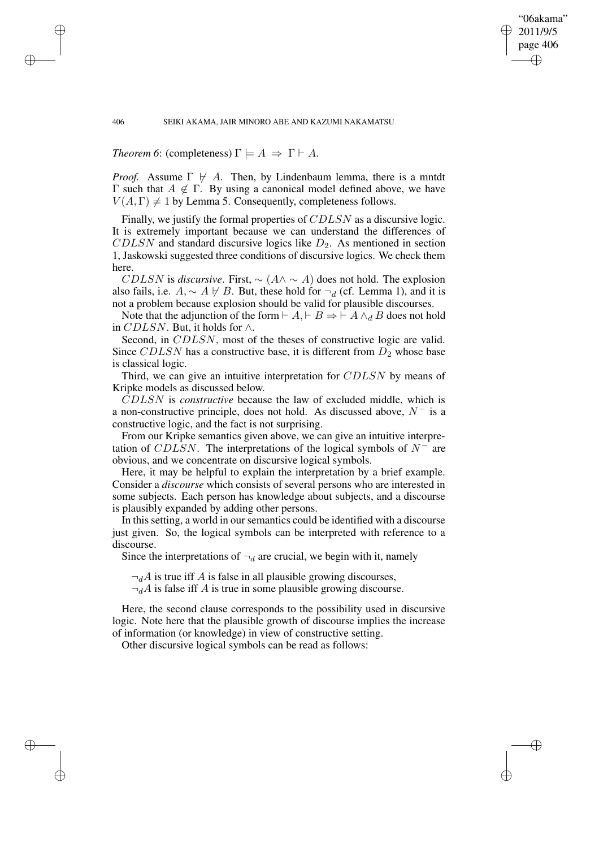#### 406 SEIKI AKAMA, JAIR MINORO ABE AND KAZUMI NAKAMATSU

"06akama" 2011/9/5 page 406

✐

✐

✐

✐

*Theorem 6*: (completeness)  $\Gamma \models A \Rightarrow \Gamma \vdash A$ .

*Proof.* Assume  $\Gamma \not\vdash A$ . Then, by Lindenbaum lemma, there is a mntdt Γ such that  $A \notin Γ$ . By using a canonical model defined above, we have  $V(A, \Gamma) \neq 1$  by Lemma 5. Consequently, completeness follows.

Finally, we justify the formal properties of CDLSN as a discursive logic. It is extremely important because we can understand the differences of  $CDLSN$  and standard discursive logics like  $D_2$ . As mentioned in section 1, Jaskowski suggested three conditions of discursive logics. We check them here.

*CDLSN* is *discursive*. First,  $\sim$  ( $A \land \sim A$ ) does not hold. The explosion also fails, i.e.  $A \sim A \not\vdash B$ . But, these hold for  $\neg_d$  (cf. Lemma 1), and it is not a problem because explosion should be valid for plausible discourses.

Note that the adjunction of the form  $\vdash A \land \vdash B \Rightarrow \vdash A \land A B$  does not hold in CDLSN. But, it holds for  $\wedge$ .

Second, in CDLSN, most of the theses of constructive logic are valid. Since CDLSN has a constructive base, it is different from  $D_2$  whose base is classical logic.

Third, we can give an intuitive interpretation for CDLSN by means of Kripke models as discussed below.

CDLSN is *constructive* because the law of excluded middle, which is a non-constructive principle, does not hold. As discussed above,  $N^-$  is a constructive logic, and the fact is not surprising.

From our Kripke semantics given above, we can give an intuitive interpretation of CDLSN. The interpretations of the logical symbols of  $N^-$  are obvious, and we concentrate on discursive logical symbols.

Here, it may be helpful to explain the interpretation by a brief example. Consider a *discourse* which consists of several persons who are interested in some subjects. Each person has knowledge about subjects, and a discourse is plausibly expanded by adding other persons.

In thissetting, a world in oursemantics could be identified with a discourse just given. So, the logical symbols can be interpreted with reference to a discourse.

Since the interpretations of  $\neg_d$  are crucial, we begin with it, namely

 $\neg_d A$  is true iff A is false in all plausible growing discourses,

 $\neg_d A$  is false iff A is true in some plausible growing discourse.

Here, the second clause corresponds to the possibility used in discursive logic. Note here that the plausible growth of discourse implies the increase of information (or knowledge) in view of constructive setting.

Other discursive logical symbols can be read as follows:

✐

✐

✐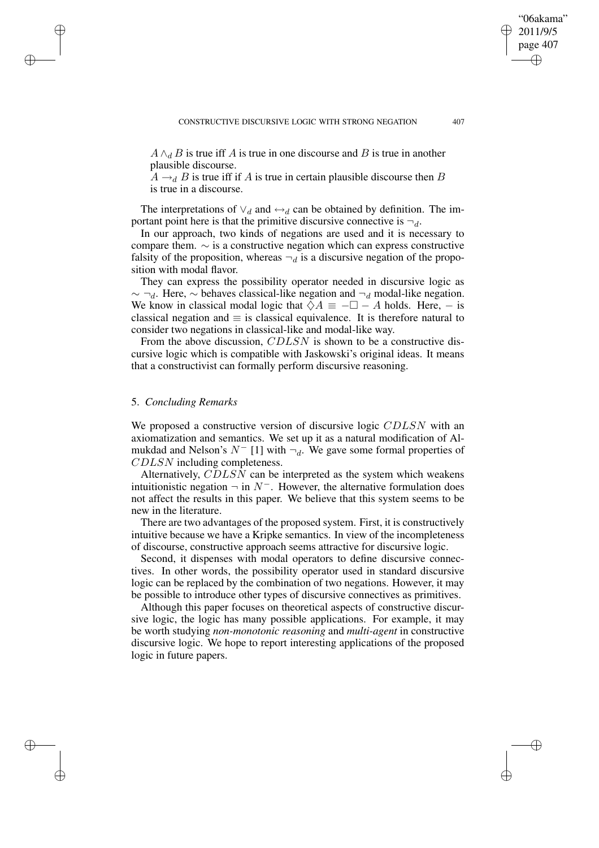$A \wedge_d B$  is true iff A is true in one discourse and B is true in another plausible discourse.

 $A \rightarrow_B B$  is true iff if A is true in certain plausible discourse then B is true in a discourse.

The interpretations of  $\vee_d$  and  $\leftrightarrow_d$  can be obtained by definition. The important point here is that the primitive discursive connective is  $\neg_d$ .

In our approach, two kinds of negations are used and it is necessary to compare them. ∼ is a constructive negation which can express constructive falsity of the proposition, whereas  $\neg_d$  is a discursive negation of the proposition with modal flavor.

They can express the possibility operator needed in discursive logic as  $\sim \neg_d$ . Here,  $\sim$  behaves classical-like negation and  $\neg_d$  modal-like negation. We know in classical modal logic that  $\Diamond A \equiv -\Box - A$  holds. Here, – is classical negation and  $\equiv$  is classical equivalence. It is therefore natural to consider two negations in classical-like and modal-like way.

From the above discussion, CDLSN is shown to be a constructive discursive logic which is compatible with Jaskowski's original ideas. It means that a constructivist can formally perform discursive reasoning.

## 5. *Concluding Remarks*

✐

✐

✐

✐

We proposed a constructive version of discursive logic CDLSN with an axiomatization and semantics. We set up it as a natural modification of Almukdad and Nelson's  $N^-$  [1] with  $\neg_d$ . We gave some formal properties of CDLSN including completeness.

Alternatively, CDLSN can be interpreted as the system which weakens intuitionistic negation  $\neg$  in  $N^-$ . However, the alternative formulation does not affect the results in this paper. We believe that this system seems to be new in the literature.

There are two advantages of the proposed system. First, it is constructively intuitive because we have a Kripke semantics. In view of the incompleteness of discourse, constructive approach seems attractive for discursive logic.

Second, it dispenses with modal operators to define discursive connectives. In other words, the possibility operator used in standard discursive logic can be replaced by the combination of two negations. However, it may be possible to introduce other types of discursive connectives as primitives.

Although this paper focuses on theoretical aspects of constructive discursive logic, the logic has many possible applications. For example, it may be worth studying *non-monotonic reasoning* and *multi-agent* in constructive discursive logic. We hope to report interesting applications of the proposed logic in future papers.

"06akama" 2011/9/5 page 407

✐

✐

✐